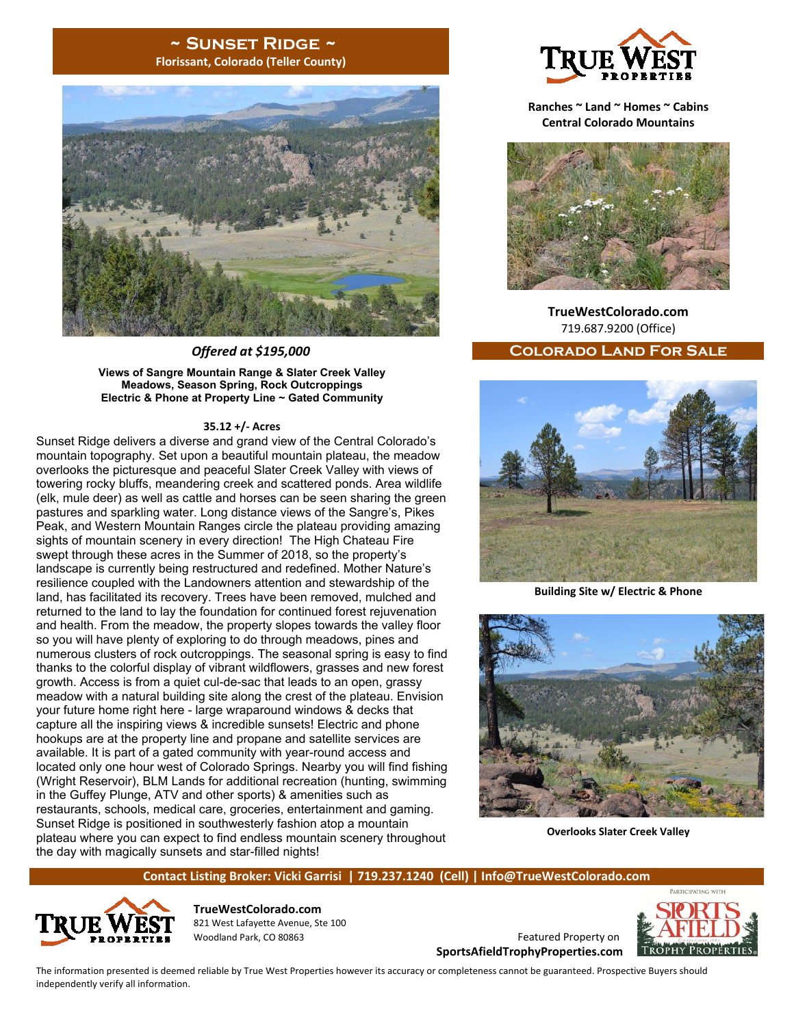## **~ Sunset Ridge ~ Florissant, Colorado (Teller County)**



**Views of Sangre Mountain Range & Slater Creek Valley Meadows, Season Spring, Rock Outcroppings Electric & Phone at Property Line ~ Gated Community** 

#### **35.12 +/‐ Acres**

Sunset Ridge delivers a diverse and grand view of the Central Colorado's mountain topography. Set upon a beautiful mountain plateau, the meadow overlooks the picturesque and peaceful Slater Creek Valley with views of towering rocky bluffs, meandering creek and scattered ponds. Area wildlife (elk, mule deer) as well as cattle and horses can be seen sharing the green pastures and sparkling water. Long distance views of the Sangre's, Pikes Peak, and Western Mountain Ranges circle the plateau providing amazing sights of mountain scenery in every direction! The High Chateau Fire swept through these acres in the Summer of 2018, so the property's landscape is currently being restructured and redefined. Mother Nature's resilience coupled with the Landowners attention and stewardship of the land, has facilitated its recovery. Trees have been removed, mulched and returned to the land to lay the foundation for continued forest rejuvenation and health. From the meadow, the property slopes towards the valley floor so you will have plenty of exploring to do through meadows, pines and numerous clusters of rock outcroppings. The seasonal spring is easy to find thanks to the colorful display of vibrant wildflowers, grasses and new forest growth. Access is from a quiet cul-de-sac that leads to an open, grassy meadow with a natural building site along the crest of the plateau. Envision your future home right here - large wraparound windows & decks that capture all the inspiring views & incredible sunsets! Electric and phone hookups are at the property line and propane and satellite services are available. It is part of a gated community with year-round access and located only one hour west of Colorado Springs. Nearby you will find fishing (Wright Reservoir), BLM Lands for additional recreation (hunting, swimming in the Guffey Plunge, ATV and other sports) & amenities such as restaurants, schools, medical care, groceries, entertainment and gaming. Sunset Ridge is positioned in southwesterly fashion atop a mountain plateau where you can expect to find endless mountain scenery throughout the day with magically sunsets and star-filled nights!



**Ranches ~ Land ~ Homes ~ Cabins Central Colorado Mountains** 



**TrueWestColorado.com**  719.687.9200 (Office)

# *Offered at \$195,000* **Colorado Land For Sale**



**Building Site w/ Electric & Phone**



**Overlooks Slater Creek Valley** 

### **Contact Listing Broker: Vicki Garrisi | 719.237.1240 (Cell) | Info@TrueWestColorado.com**



**TrueWestColorado.com**  821 West Lafayette Avenue, Ste 100 Woodland Park, CO 80863 Featured Property on

**SportsAfieldTrophyProperties.com**



The information presented is deemed reliable by True West Properties however its accuracy or completeness cannot be guaranteed. Prospective Buyers should independently verify all information.